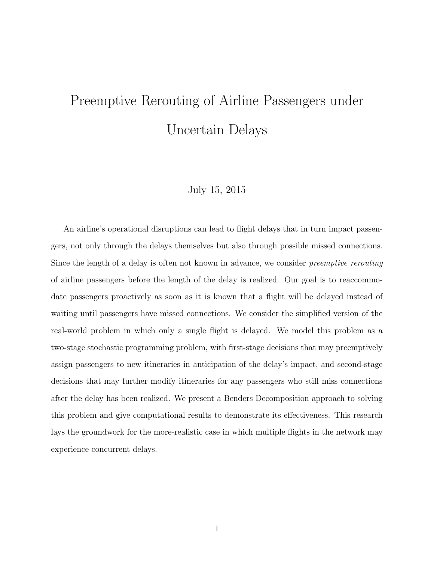# Preemptive Rerouting of Airline Passengers under Uncertain Delays

### July 15, 2015

An airline's operational disruptions can lead to flight delays that in turn impact passengers, not only through the delays themselves but also through possible missed connections. Since the length of a delay is often not known in advance, we consider preemptive rerouting of airline passengers before the length of the delay is realized. Our goal is to reaccommodate passengers proactively as soon as it is known that a flight will be delayed instead of waiting until passengers have missed connections. We consider the simplified version of the real-world problem in which only a single flight is delayed. We model this problem as a two-stage stochastic programming problem, with first-stage decisions that may preemptively assign passengers to new itineraries in anticipation of the delay's impact, and second-stage decisions that may further modify itineraries for any passengers who still miss connections after the delay has been realized. We present a Benders Decomposition approach to solving this problem and give computational results to demonstrate its effectiveness. This research lays the groundwork for the more-realistic case in which multiple flights in the network may experience concurrent delays.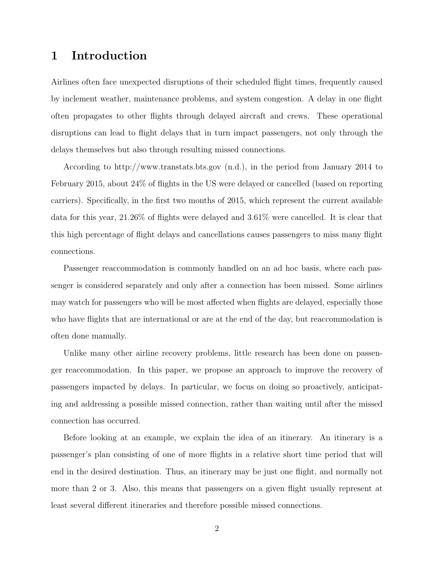### 1 Introduction

Airlines often face unexpected disruptions of their scheduled flight times, frequently caused by inclement weather, maintenance problems, and system congestion. A delay in one flight often propagates to other flights through delayed aircraft and crews. These operational disruptions can lead to flight delays that in turn impact passengers, not only through the delays themselves but also through resulting missed connections.

According to http://www.transtats.bts.gov (n.d.), in the period from January 2014 to February 2015, about 24% of flights in the US were delayed or cancelled (based on reporting carriers). Specifically, in the first two months of 2015, which represent the current available data for this year, 21.26% of flights were delayed and 3.61% were cancelled. It is clear that this high percentage of flight delays and cancellations causes passengers to miss many flight connections.

Passenger reaccommodation is commonly handled on an ad hoc basis, where each passenger is considered separately and only after a connection has been missed. Some airlines may watch for passengers who will be most affected when flights are delayed, especially those who have flights that are international or are at the end of the day, but reaccommodation is often done manually.

Unlike many other airline recovery problems, little research has been done on passenger reaccommodation. In this paper, we propose an approach to improve the recovery of passengers impacted by delays. In particular, we focus on doing so proactively, anticipating and addressing a possible missed connection, rather than waiting until after the missed connection has occurred.

Before looking at an example, we explain the idea of an itinerary. An itinerary is a passenger's plan consisting of one of more flights in a relative short time period that will end in the desired destination. Thus, an itinerary may be just one flight, and normally not more than 2 or 3. Also, this means that passengers on a given flight usually represent at least several different itineraries and therefore possible missed connections.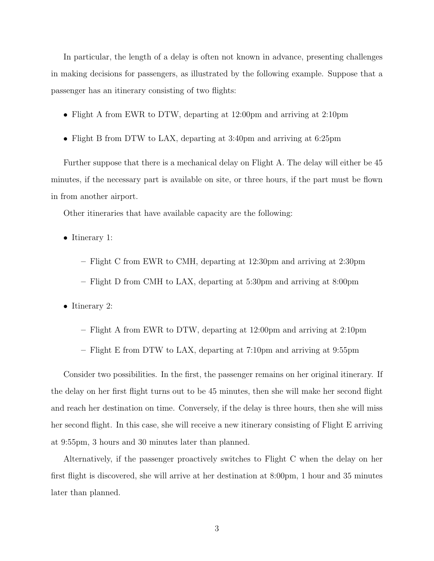In particular, the length of a delay is often not known in advance, presenting challenges in making decisions for passengers, as illustrated by the following example. Suppose that a passenger has an itinerary consisting of two flights:

- Flight A from EWR to DTW, departing at 12:00pm and arriving at 2:10pm
- Flight B from DTW to LAX, departing at 3:40pm and arriving at 6:25pm

Further suppose that there is a mechanical delay on Flight A. The delay will either be 45 minutes, if the necessary part is available on site, or three hours, if the part must be flown in from another airport.

Other itineraries that have available capacity are the following:

- Itinerary 1:
	- Flight C from EWR to CMH, departing at 12:30pm and arriving at 2:30pm
	- Flight D from CMH to LAX, departing at 5:30pm and arriving at 8:00pm

• Itinerary 2:

- Flight A from EWR to DTW, departing at 12:00pm and arriving at 2:10pm
- Flight E from DTW to LAX, departing at 7:10pm and arriving at 9:55pm

Consider two possibilities. In the first, the passenger remains on her original itinerary. If the delay on her first flight turns out to be 45 minutes, then she will make her second flight and reach her destination on time. Conversely, if the delay is three hours, then she will miss her second flight. In this case, she will receive a new itinerary consisting of Flight E arriving at 9:55pm, 3 hours and 30 minutes later than planned.

Alternatively, if the passenger proactively switches to Flight C when the delay on her first flight is discovered, she will arrive at her destination at 8:00pm, 1 hour and 35 minutes later than planned.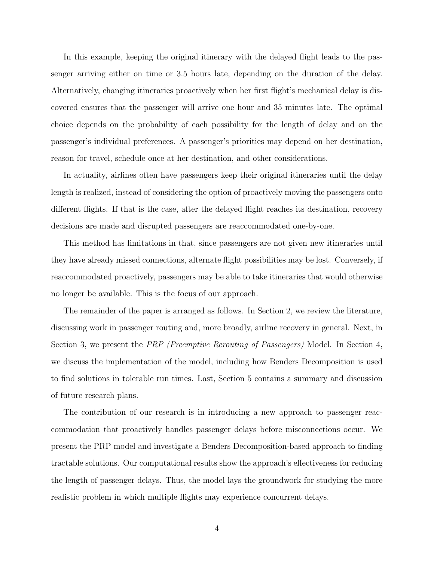In this example, keeping the original itinerary with the delayed flight leads to the passenger arriving either on time or 3.5 hours late, depending on the duration of the delay. Alternatively, changing itineraries proactively when her first flight's mechanical delay is discovered ensures that the passenger will arrive one hour and 35 minutes late. The optimal choice depends on the probability of each possibility for the length of delay and on the passenger's individual preferences. A passenger's priorities may depend on her destination, reason for travel, schedule once at her destination, and other considerations.

In actuality, airlines often have passengers keep their original itineraries until the delay length is realized, instead of considering the option of proactively moving the passengers onto different flights. If that is the case, after the delayed flight reaches its destination, recovery decisions are made and disrupted passengers are reaccommodated one-by-one.

This method has limitations in that, since passengers are not given new itineraries until they have already missed connections, alternate flight possibilities may be lost. Conversely, if reaccommodated proactively, passengers may be able to take itineraries that would otherwise no longer be available. This is the focus of our approach.

The remainder of the paper is arranged as follows. In Section 2, we review the literature, discussing work in passenger routing and, more broadly, airline recovery in general. Next, in Section 3, we present the PRP (Preemptive Rerouting of Passengers) Model. In Section 4, we discuss the implementation of the model, including how Benders Decomposition is used to find solutions in tolerable run times. Last, Section 5 contains a summary and discussion of future research plans.

The contribution of our research is in introducing a new approach to passenger reaccommodation that proactively handles passenger delays before misconnections occur. We present the PRP model and investigate a Benders Decomposition-based approach to finding tractable solutions. Our computational results show the approach's effectiveness for reducing the length of passenger delays. Thus, the model lays the groundwork for studying the more realistic problem in which multiple flights may experience concurrent delays.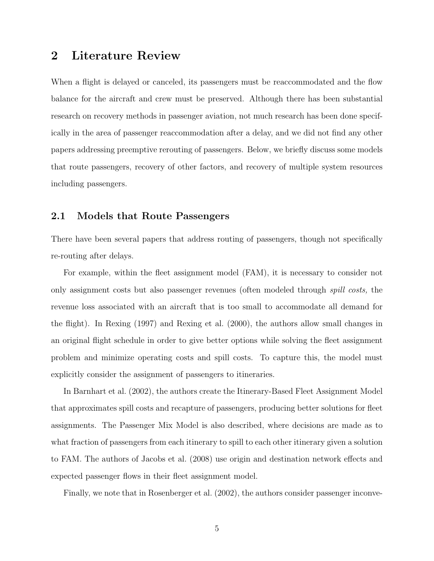### 2 Literature Review

When a flight is delayed or canceled, its passengers must be reaccommodated and the flow balance for the aircraft and crew must be preserved. Although there has been substantial research on recovery methods in passenger aviation, not much research has been done specifically in the area of passenger reaccommodation after a delay, and we did not find any other papers addressing preemptive rerouting of passengers. Below, we briefly discuss some models that route passengers, recovery of other factors, and recovery of multiple system resources including passengers.

### 2.1 Models that Route Passengers

There have been several papers that address routing of passengers, though not specifically re-routing after delays.

For example, within the fleet assignment model (FAM), it is necessary to consider not only assignment costs but also passenger revenues (often modeled through spill costs, the revenue loss associated with an aircraft that is too small to accommodate all demand for the flight). In Rexing (1997) and Rexing et al. (2000), the authors allow small changes in an original flight schedule in order to give better options while solving the fleet assignment problem and minimize operating costs and spill costs. To capture this, the model must explicitly consider the assignment of passengers to itineraries.

In Barnhart et al. (2002), the authors create the Itinerary-Based Fleet Assignment Model that approximates spill costs and recapture of passengers, producing better solutions for fleet assignments. The Passenger Mix Model is also described, where decisions are made as to what fraction of passengers from each itinerary to spill to each other itinerary given a solution to FAM. The authors of Jacobs et al. (2008) use origin and destination network effects and expected passenger flows in their fleet assignment model.

Finally, we note that in Rosenberger et al. (2002), the authors consider passenger inconve-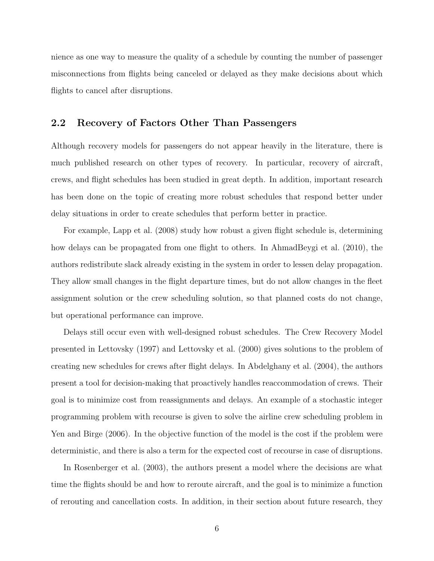nience as one way to measure the quality of a schedule by counting the number of passenger misconnections from flights being canceled or delayed as they make decisions about which flights to cancel after disruptions.

#### 2.2 Recovery of Factors Other Than Passengers

Although recovery models for passengers do not appear heavily in the literature, there is much published research on other types of recovery. In particular, recovery of aircraft, crews, and flight schedules has been studied in great depth. In addition, important research has been done on the topic of creating more robust schedules that respond better under delay situations in order to create schedules that perform better in practice.

For example, Lapp et al. (2008) study how robust a given flight schedule is, determining how delays can be propagated from one flight to others. In AhmadBeygi et al. (2010), the authors redistribute slack already existing in the system in order to lessen delay propagation. They allow small changes in the flight departure times, but do not allow changes in the fleet assignment solution or the crew scheduling solution, so that planned costs do not change, but operational performance can improve.

Delays still occur even with well-designed robust schedules. The Crew Recovery Model presented in Lettovsky (1997) and Lettovsky et al. (2000) gives solutions to the problem of creating new schedules for crews after flight delays. In Abdelghany et al. (2004), the authors present a tool for decision-making that proactively handles reaccommodation of crews. Their goal is to minimize cost from reassignments and delays. An example of a stochastic integer programming problem with recourse is given to solve the airline crew scheduling problem in Yen and Birge (2006). In the objective function of the model is the cost if the problem were deterministic, and there is also a term for the expected cost of recourse in case of disruptions.

In Rosenberger et al. (2003), the authors present a model where the decisions are what time the flights should be and how to reroute aircraft, and the goal is to minimize a function of rerouting and cancellation costs. In addition, in their section about future research, they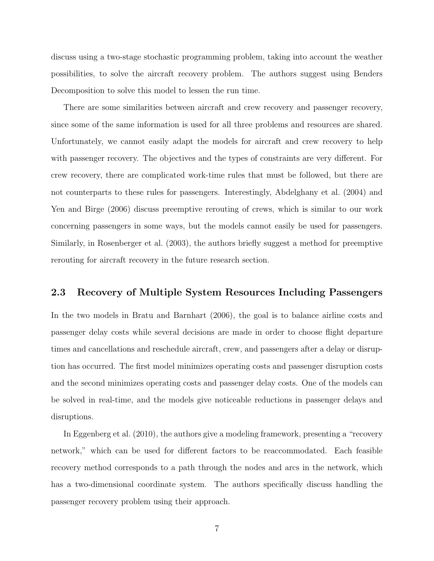discuss using a two-stage stochastic programming problem, taking into account the weather possibilities, to solve the aircraft recovery problem. The authors suggest using Benders Decomposition to solve this model to lessen the run time.

There are some similarities between aircraft and crew recovery and passenger recovery, since some of the same information is used for all three problems and resources are shared. Unfortunately, we cannot easily adapt the models for aircraft and crew recovery to help with passenger recovery. The objectives and the types of constraints are very different. For crew recovery, there are complicated work-time rules that must be followed, but there are not counterparts to these rules for passengers. Interestingly, Abdelghany et al. (2004) and Yen and Birge (2006) discuss preemptive rerouting of crews, which is similar to our work concerning passengers in some ways, but the models cannot easily be used for passengers. Similarly, in Rosenberger et al. (2003), the authors briefly suggest a method for preemptive rerouting for aircraft recovery in the future research section.

#### 2.3 Recovery of Multiple System Resources Including Passengers

In the two models in Bratu and Barnhart (2006), the goal is to balance airline costs and passenger delay costs while several decisions are made in order to choose flight departure times and cancellations and reschedule aircraft, crew, and passengers after a delay or disruption has occurred. The first model minimizes operating costs and passenger disruption costs and the second minimizes operating costs and passenger delay costs. One of the models can be solved in real-time, and the models give noticeable reductions in passenger delays and disruptions.

In Eggenberg et al. (2010), the authors give a modeling framework, presenting a "recovery network," which can be used for different factors to be reaccommodated. Each feasible recovery method corresponds to a path through the nodes and arcs in the network, which has a two-dimensional coordinate system. The authors specifically discuss handling the passenger recovery problem using their approach.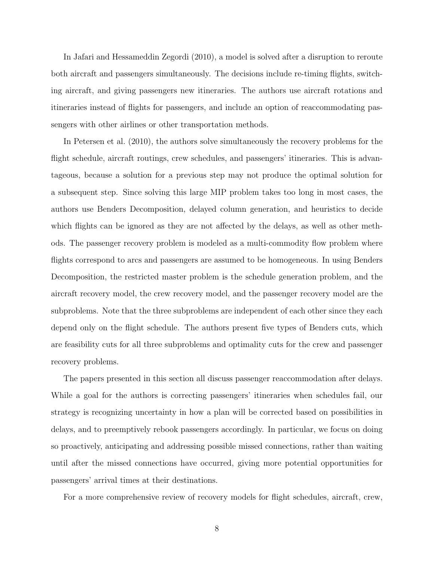In Jafari and Hessameddin Zegordi (2010), a model is solved after a disruption to reroute both aircraft and passengers simultaneously. The decisions include re-timing flights, switching aircraft, and giving passengers new itineraries. The authors use aircraft rotations and itineraries instead of flights for passengers, and include an option of reaccommodating passengers with other airlines or other transportation methods.

In Petersen et al. (2010), the authors solve simultaneously the recovery problems for the flight schedule, aircraft routings, crew schedules, and passengers' itineraries. This is advantageous, because a solution for a previous step may not produce the optimal solution for a subsequent step. Since solving this large MIP problem takes too long in most cases, the authors use Benders Decomposition, delayed column generation, and heuristics to decide which flights can be ignored as they are not affected by the delays, as well as other methods. The passenger recovery problem is modeled as a multi-commodity flow problem where flights correspond to arcs and passengers are assumed to be homogeneous. In using Benders Decomposition, the restricted master problem is the schedule generation problem, and the aircraft recovery model, the crew recovery model, and the passenger recovery model are the subproblems. Note that the three subproblems are independent of each other since they each depend only on the flight schedule. The authors present five types of Benders cuts, which are feasibility cuts for all three subproblems and optimality cuts for the crew and passenger recovery problems.

The papers presented in this section all discuss passenger reaccommodation after delays. While a goal for the authors is correcting passengers' itineraries when schedules fail, our strategy is recognizing uncertainty in how a plan will be corrected based on possibilities in delays, and to preemptively rebook passengers accordingly. In particular, we focus on doing so proactively, anticipating and addressing possible missed connections, rather than waiting until after the missed connections have occurred, giving more potential opportunities for passengers' arrival times at their destinations.

For a more comprehensive review of recovery models for flight schedules, aircraft, crew,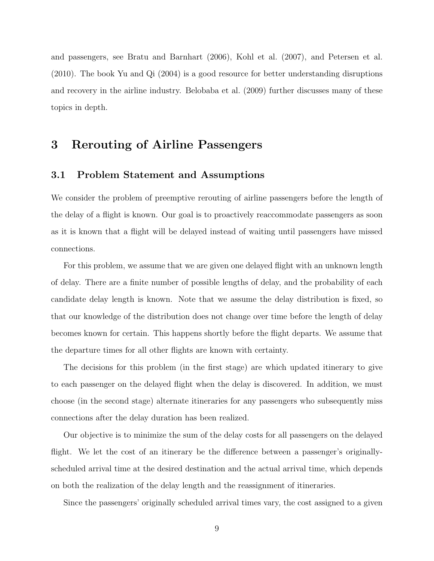and passengers, see Bratu and Barnhart (2006), Kohl et al. (2007), and Petersen et al. (2010). The book Yu and Qi (2004) is a good resource for better understanding disruptions and recovery in the airline industry. Belobaba et al. (2009) further discusses many of these topics in depth.

### 3 Rerouting of Airline Passengers

### 3.1 Problem Statement and Assumptions

We consider the problem of preemptive rerouting of airline passengers before the length of the delay of a flight is known. Our goal is to proactively reaccommodate passengers as soon as it is known that a flight will be delayed instead of waiting until passengers have missed connections.

For this problem, we assume that we are given one delayed flight with an unknown length of delay. There are a finite number of possible lengths of delay, and the probability of each candidate delay length is known. Note that we assume the delay distribution is fixed, so that our knowledge of the distribution does not change over time before the length of delay becomes known for certain. This happens shortly before the flight departs. We assume that the departure times for all other flights are known with certainty.

The decisions for this problem (in the first stage) are which updated itinerary to give to each passenger on the delayed flight when the delay is discovered. In addition, we must choose (in the second stage) alternate itineraries for any passengers who subsequently miss connections after the delay duration has been realized.

Our objective is to minimize the sum of the delay costs for all passengers on the delayed flight. We let the cost of an itinerary be the difference between a passenger's originallyscheduled arrival time at the desired destination and the actual arrival time, which depends on both the realization of the delay length and the reassignment of itineraries.

Since the passengers' originally scheduled arrival times vary, the cost assigned to a given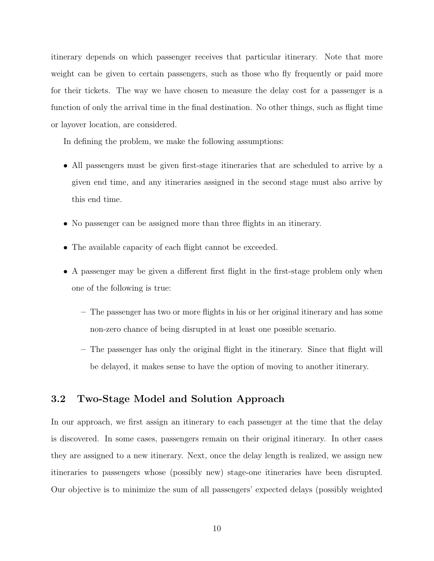itinerary depends on which passenger receives that particular itinerary. Note that more weight can be given to certain passengers, such as those who fly frequently or paid more for their tickets. The way we have chosen to measure the delay cost for a passenger is a function of only the arrival time in the final destination. No other things, such as flight time or layover location, are considered.

In defining the problem, we make the following assumptions:

- All passengers must be given first-stage itineraries that are scheduled to arrive by a given end time, and any itineraries assigned in the second stage must also arrive by this end time.
- No passenger can be assigned more than three flights in an itinerary.
- The available capacity of each flight cannot be exceeded.
- A passenger may be given a different first flight in the first-stage problem only when one of the following is true:
	- The passenger has two or more flights in his or her original itinerary and has some non-zero chance of being disrupted in at least one possible scenario.
	- The passenger has only the original flight in the itinerary. Since that flight will be delayed, it makes sense to have the option of moving to another itinerary.

### 3.2 Two-Stage Model and Solution Approach

In our approach, we first assign an itinerary to each passenger at the time that the delay is discovered. In some cases, passengers remain on their original itinerary. In other cases they are assigned to a new itinerary. Next, once the delay length is realized, we assign new itineraries to passengers whose (possibly new) stage-one itineraries have been disrupted. Our objective is to minimize the sum of all passengers' expected delays (possibly weighted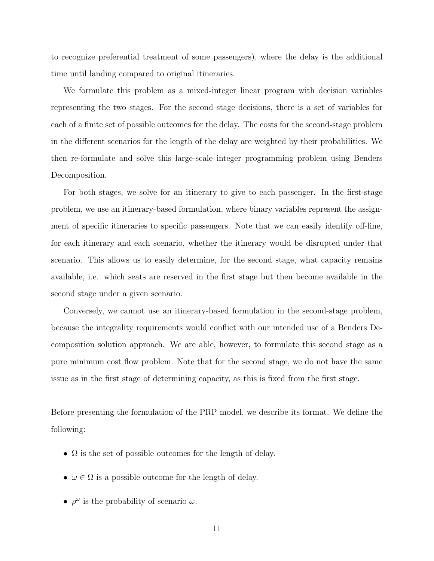to recognize preferential treatment of some passengers), where the delay is the additional time until landing compared to original itineraries.

We formulate this problem as a mixed-integer linear program with decision variables representing the two stages. For the second stage decisions, there is a set of variables for each of a finite set of possible outcomes for the delay. The costs for the second-stage problem in the different scenarios for the length of the delay are weighted by their probabilities. We then re-formulate and solve this large-scale integer programming problem using Benders Decomposition.

For both stages, we solve for an itinerary to give to each passenger. In the first-stage problem, we use an itinerary-based formulation, where binary variables represent the assignment of specific itineraries to specific passengers. Note that we can easily identify off-line, for each itinerary and each scenario, whether the itinerary would be disrupted under that scenario. This allows us to easily determine, for the second stage, what capacity remains available, i.e. which seats are reserved in the first stage but then become available in the second stage under a given scenario.

Conversely, we cannot use an itinerary-based formulation in the second-stage problem, because the integrality requirements would conflict with our intended use of a Benders Decomposition solution approach. We are able, however, to formulate this second stage as a pure minimum cost flow problem. Note that for the second stage, we do not have the same issue as in the first stage of determining capacity, as this is fixed from the first stage.

Before presenting the formulation of the PRP model, we describe its format. We define the following:

- $\Omega$  is the set of possible outcomes for the length of delay.
- $\omega \in \Omega$  is a possible outcome for the length of delay.
- $\rho^{\omega}$  is the probability of scenario  $\omega$ .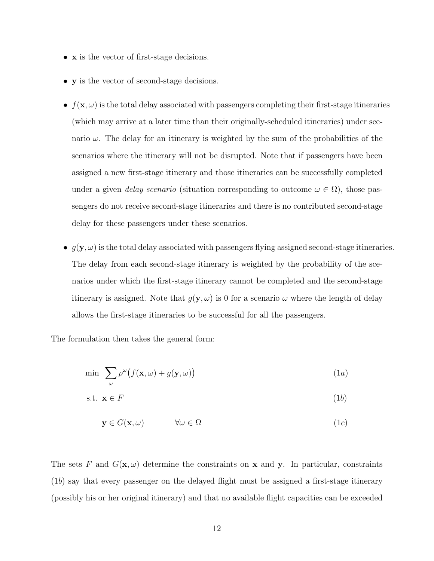- **x** is the vector of first-stage decisions.
- y is the vector of second-stage decisions.
- $f(\mathbf{x}, \omega)$  is the total delay associated with passengers completing their first-stage itineraries (which may arrive at a later time than their originally-scheduled itineraries) under scenario  $\omega$ . The delay for an itinerary is weighted by the sum of the probabilities of the scenarios where the itinerary will not be disrupted. Note that if passengers have been assigned a new first-stage itinerary and those itineraries can be successfully completed under a given *delay scenario* (situation corresponding to outcome  $\omega \in \Omega$ ), those passengers do not receive second-stage itineraries and there is no contributed second-stage delay for these passengers under these scenarios.
- $g(\mathbf{y}, \omega)$  is the total delay associated with passengers flying assigned second-stage itineraries. The delay from each second-stage itinerary is weighted by the probability of the scenarios under which the first-stage itinerary cannot be completed and the second-stage itinerary is assigned. Note that  $g(y, \omega)$  is 0 for a scenario  $\omega$  where the length of delay allows the first-stage itineraries to be successful for all the passengers.

The formulation then takes the general form:

$$
\min \sum_{\omega} \rho^{\omega} \big( f(\mathbf{x}, \omega) + g(\mathbf{y}, \omega) \big) \tag{1a}
$$

$$
s.t. \mathbf{x} \in F \tag{1b}
$$

$$
\mathbf{y} \in G(\mathbf{x}, \omega) \qquad \forall \omega \in \Omega \tag{1c}
$$

The sets F and  $G(\mathbf{x}, \omega)$  determine the constraints on **x** and **y**. In particular, constraints (1b) say that every passenger on the delayed flight must be assigned a first-stage itinerary (possibly his or her original itinerary) and that no available flight capacities can be exceeded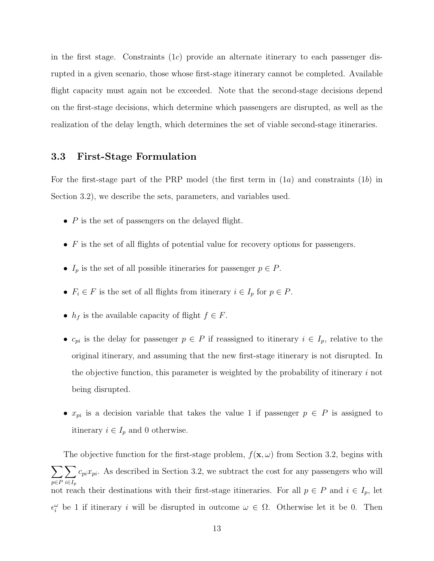in the first stage. Constraints  $(1c)$  provide an alternate itinerary to each passenger disrupted in a given scenario, those whose first-stage itinerary cannot be completed. Available flight capacity must again not be exceeded. Note that the second-stage decisions depend on the first-stage decisions, which determine which passengers are disrupted, as well as the realization of the delay length, which determines the set of viable second-stage itineraries.

### 3.3 First-Stage Formulation

For the first-stage part of the PRP model (the first term in  $(1a)$  and constraints  $(1b)$  in Section 3.2), we describe the sets, parameters, and variables used.

- $P$  is the set of passengers on the delayed flight.
- $\bullet$  F is the set of all flights of potential value for recovery options for passengers.
- $I_p$  is the set of all possible itineraries for passenger  $p \in P$ .
- $F_i \in F$  is the set of all flights from itinerary  $i \in I_p$  for  $p \in P$ .
- $h_f$  is the available capacity of flight  $f \in F$ .
- $c_{pi}$  is the delay for passenger  $p \in P$  if reassigned to itinerary  $i \in I_p$ , relative to the original itinerary, and assuming that the new first-stage itinerary is not disrupted. In the objective function, this parameter is weighted by the probability of itinerary i not being disrupted.
- $x_{pi}$  is a decision variable that takes the value 1 if passenger  $p \in P$  is assigned to itinerary  $i \in I_p$  and 0 otherwise.

The objective function for the first-stage problem,  $f(\mathbf{x}, \omega)$  from Section 3.2, begins with  $\sum$ p∈P  $\sum$  $i \in I_p$  $c_{pi}x_{pi}$ . As described in Section 3.2, we subtract the cost for any passengers who will not reach their destinations with their first-stage itineraries. For all  $p \in P$  and  $i \in I_p$ , let  $\epsilon_i^{\omega}$  be 1 if itinerary *i* will be disrupted in outcome  $\omega \in \Omega$ . Otherwise let it be 0. Then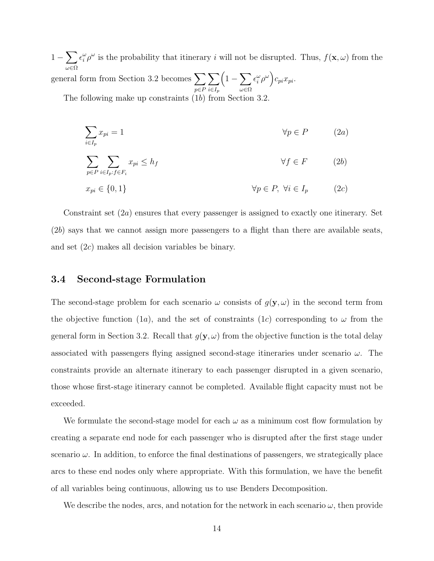$1-\sum$ ω∈Ω  $\epsilon_i^{\omega} \rho^{\omega}$  is the probability that itinerary i will not be disrupted. Thus,  $f(\mathbf{x}, \omega)$  from the general form from Section 3.2 becomes  $\sum$ p∈P  $\sum$  $i \in I_p$  $\left(1-\sum\right)$ ω∈Ω  $\epsilon_i^{\omega}\rho^{\omega}\Big)c_{pi}x_{pi}.$ 

The following make up constraints (1b) from Section 3.2.

$$
\sum_{i \in I_p} x_{pi} = 1 \qquad \qquad \forall p \in P \qquad (2a)
$$

$$
\sum_{p \in P} \sum_{i \in I_p : f \in F_i} x_{pi} \le h_f \qquad \forall f \in F \qquad (2b)
$$

$$
x_{pi} \in \{0, 1\} \qquad \qquad \forall p \in P, \ \forall i \in I_p \qquad (2c)
$$

Constraint set  $(2a)$  ensures that every passenger is assigned to exactly one itinerary. Set  $(2b)$  says that we cannot assign more passengers to a flight than there are available seats, and set (2c) makes all decision variables be binary.

#### 3.4 Second-stage Formulation

The second-stage problem for each scenario  $\omega$  consists of  $g(\mathbf{y}, \omega)$  in the second term from the objective function (1a), and the set of constraints (1c) corresponding to  $\omega$  from the general form in Section 3.2. Recall that  $g(y, \omega)$  from the objective function is the total delay associated with passengers flying assigned second-stage itineraries under scenario  $\omega$ . The constraints provide an alternate itinerary to each passenger disrupted in a given scenario, those whose first-stage itinerary cannot be completed. Available flight capacity must not be exceeded.

We formulate the second-stage model for each  $\omega$  as a minimum cost flow formulation by creating a separate end node for each passenger who is disrupted after the first stage under scenario  $\omega$ . In addition, to enforce the final destinations of passengers, we strategically place arcs to these end nodes only where appropriate. With this formulation, we have the benefit of all variables being continuous, allowing us to use Benders Decomposition.

We describe the nodes, arcs, and notation for the network in each scenario  $\omega$ , then provide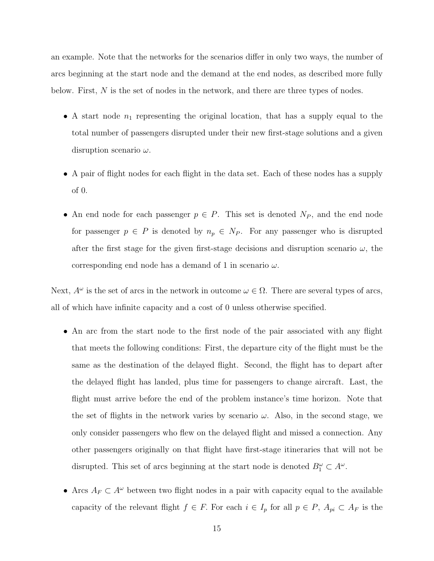an example. Note that the networks for the scenarios differ in only two ways, the number of arcs beginning at the start node and the demand at the end nodes, as described more fully below. First,  $N$  is the set of nodes in the network, and there are three types of nodes.

- A start node  $n_1$  representing the original location, that has a supply equal to the total number of passengers disrupted under their new first-stage solutions and a given disruption scenario  $\omega$ .
- A pair of flight nodes for each flight in the data set. Each of these nodes has a supply of 0.
- An end node for each passenger  $p \in P$ . This set is denoted  $N_P$ , and the end node for passenger  $p \in P$  is denoted by  $n_p \in N_P$ . For any passenger who is disrupted after the first stage for the given first-stage decisions and disruption scenario  $\omega$ , the corresponding end node has a demand of 1 in scenario  $\omega$ .

Next,  $A^{\omega}$  is the set of arcs in the network in outcome  $\omega \in \Omega$ . There are several types of arcs, all of which have infinite capacity and a cost of 0 unless otherwise specified.

- An arc from the start node to the first node of the pair associated with any flight that meets the following conditions: First, the departure city of the flight must be the same as the destination of the delayed flight. Second, the flight has to depart after the delayed flight has landed, plus time for passengers to change aircraft. Last, the flight must arrive before the end of the problem instance's time horizon. Note that the set of flights in the network varies by scenario  $\omega$ . Also, in the second stage, we only consider passengers who flew on the delayed flight and missed a connection. Any other passengers originally on that flight have first-stage itineraries that will not be disrupted. This set of arcs beginning at the start node is denoted  $B_1^{\omega} \subset A^{\omega}$ .
- Arcs  $A_F \subset A^{\omega}$  between two flight nodes in a pair with capacity equal to the available capacity of the relevant flight  $f \in F$ . For each  $i \in I_p$  for all  $p \in P$ ,  $A_{pi} \subset A_F$  is the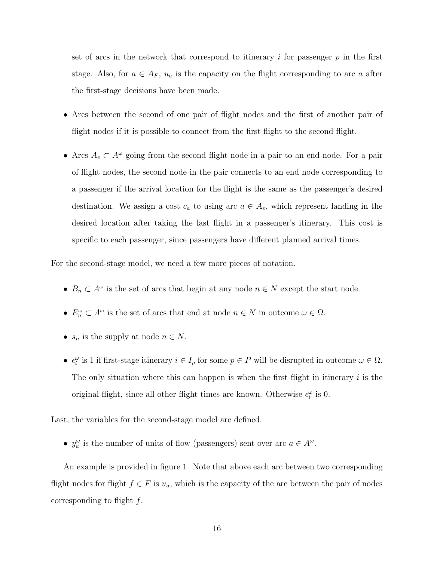set of arcs in the network that correspond to itinerary i for passenger  $p$  in the first stage. Also, for  $a \in A_F$ ,  $u_a$  is the capacity on the flight corresponding to arc a after the first-stage decisions have been made.

- Arcs between the second of one pair of flight nodes and the first of another pair of flight nodes if it is possible to connect from the first flight to the second flight.
- Arcs  $A_e \subset A^{\omega}$  going from the second flight node in a pair to an end node. For a pair of flight nodes, the second node in the pair connects to an end node corresponding to a passenger if the arrival location for the flight is the same as the passenger's desired destination. We assign a cost  $c_a$  to using arc  $a \in A_e$ , which represent landing in the desired location after taking the last flight in a passenger's itinerary. This cost is specific to each passenger, since passengers have different planned arrival times.

For the second-stage model, we need a few more pieces of notation.

- $B_n \subset A^\omega$  is the set of arcs that begin at any node  $n \in N$  except the start node.
- $E_n^{\omega} \subset A^{\omega}$  is the set of arcs that end at node  $n \in N$  in outcome  $\omega \in \Omega$ .
- $s_n$  is the supply at node  $n \in N$ .
- $\epsilon_i^{\omega}$  is 1 if first-stage itinerary  $i \in I_p$  for some  $p \in P$  will be disrupted in outcome  $\omega \in \Omega$ . The only situation where this can happen is when the first flight in itinerary  $i$  is the original flight, since all other flight times are known. Otherwise  $\epsilon_i^{\omega}$  is 0.

Last, the variables for the second-stage model are defined.

•  $y_a^{\omega}$  is the number of units of flow (passengers) sent over arc  $a \in A^{\omega}$ .

An example is provided in figure 1. Note that above each arc between two corresponding flight nodes for flight  $f \in F$  is  $u_a$ , which is the capacity of the arc between the pair of nodes corresponding to flight  $f$ .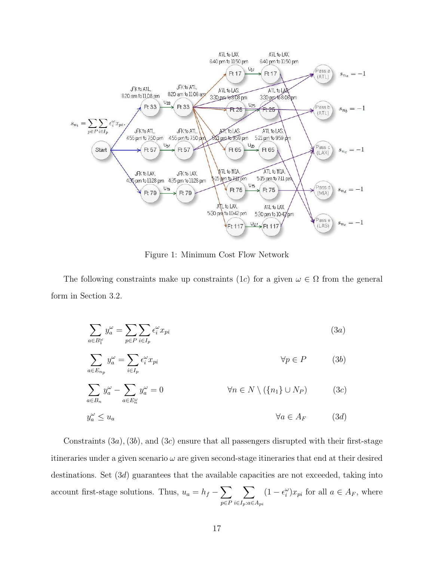

Figure 1: Minimum Cost Flow Network

The following constraints make up constraints (1c) for a given  $\omega \in \Omega$  from the general form in Section 3.2.

$$
\sum_{a \in B_1^{\omega}} y_a^{\omega} = \sum_{p \in P} \sum_{i \in I_p} \epsilon_i^{\omega} x_{pi}
$$
\n
$$
\sum_{a \in E_{n_p}} y_a^{\omega} = \sum_{i \in I_p} \epsilon_i^{\omega} x_{pi}
$$
\n
$$
\sum_{a \in B_n} y_a^{\omega} - \sum_{a \in E_n^{\omega}} y_a^{\omega} = 0
$$
\n
$$
\forall n \in N \setminus (\{n_1\} \cup N_P)
$$
\n
$$
(3c)
$$
\n
$$
y_a^{\omega} \le u_a
$$
\n
$$
\forall a \in A_F
$$
\n
$$
(3d)
$$

Constraints  $(3a)$ ,  $(3b)$ , and  $(3c)$  ensure that all passengers disrupted with their first-stage itineraries under a given scenario  $\omega$  are given second-stage itineraries that end at their desired destinations. Set (3d) guarantees that the available capacities are not exceeded, taking into account first-stage solutions. Thus,  $u_a = h_f - \sum$ p∈P  $\sum$  $i∈I_p:a∈A_{pi}$  $(1 - \epsilon_i^{\omega})x_{pi}$  for all  $a \in A_F$ , where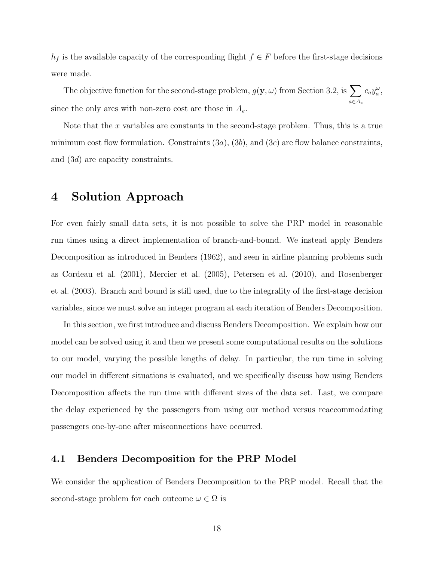$h_f$  is the available capacity of the corresponding flight  $f \in F$  before the first-stage decisions were made.

The objective function for the second-stage problem,  $g(\mathbf{y}, \omega)$  from Section 3.2, is  $\sum$ a∈A<sup>e</sup>  $c_a y_a^{\omega}$ , since the only arcs with non-zero cost are those in  $A_e$ .

Note that the x variables are constants in the second-stage problem. Thus, this is a true minimum cost flow formulation. Constraints  $(3a)$ ,  $(3b)$ , and  $(3c)$  are flow balance constraints, and (3d) are capacity constraints.

### 4 Solution Approach

For even fairly small data sets, it is not possible to solve the PRP model in reasonable run times using a direct implementation of branch-and-bound. We instead apply Benders Decomposition as introduced in Benders (1962), and seen in airline planning problems such as Cordeau et al. (2001), Mercier et al. (2005), Petersen et al. (2010), and Rosenberger et al. (2003). Branch and bound is still used, due to the integrality of the first-stage decision variables, since we must solve an integer program at each iteration of Benders Decomposition.

In this section, we first introduce and discuss Benders Decomposition. We explain how our model can be solved using it and then we present some computational results on the solutions to our model, varying the possible lengths of delay. In particular, the run time in solving our model in different situations is evaluated, and we specifically discuss how using Benders Decomposition affects the run time with different sizes of the data set. Last, we compare the delay experienced by the passengers from using our method versus reaccommodating passengers one-by-one after misconnections have occurred.

### 4.1 Benders Decomposition for the PRP Model

We consider the application of Benders Decomposition to the PRP model. Recall that the second-stage problem for each outcome  $\omega \in \Omega$  is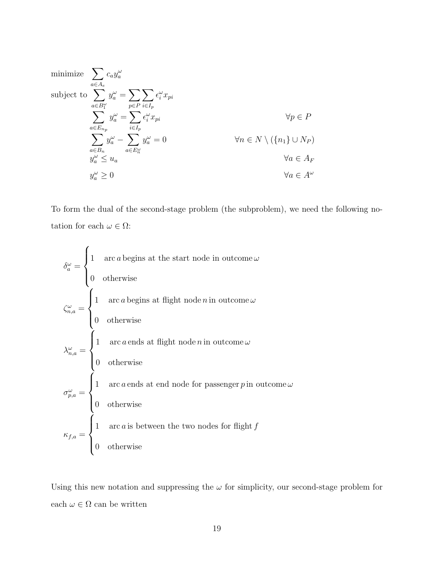minimize 
$$
\sum_{a \in A_e} c_a y_a^{\omega}
$$
  
\nsubject to 
$$
\sum_{a \in B_1^{\omega}} y_a^{\omega} = \sum_{p \in P} \sum_{i \in I_p} \epsilon_i^{\omega} x_{pi}
$$
  
\n
$$
\sum_{a \in E_{n_p}} y_a^{\omega} = \sum_{i \in I_p} \epsilon_i^{\omega} x_{pi}
$$
  
\n
$$
\sum_{a \in B_n} y_a^{\omega} - \sum_{a \in E_n^{\omega}} y_a^{\omega} = 0
$$
  
\n
$$
\forall n \in N \setminus (\{n_1\} \cup N_P)
$$
  
\n
$$
\forall a \in A_F
$$
  
\n
$$
y_a^{\omega} \ge 0
$$
  
\n
$$
\forall a \in A^{\omega}
$$

To form the dual of the second-stage problem (the subproblem), we need the following notation for each  $\omega \in \Omega$ :

$$
\delta_a^{\omega} = \begin{cases}\n1 & \text{arc } a \text{ begins at the start node in outcome } \omega \\
0 & \text{otherwise}\n\end{cases}
$$
\n
$$
\zeta_{n,a}^{\omega} = \begin{cases}\n1 & \text{arc } a \text{ begins at flight node } n \text{ in outcome } \omega \\
0 & \text{otherwise}\n\end{cases}
$$
\n
$$
\lambda_{n,a}^{\omega} = \begin{cases}\n1 & \text{arc } a \text{ ends at flight node } n \text{ in outcome } \omega \\
0 & \text{otherwise}\n\end{cases}
$$
\n
$$
\sigma_{p,a}^{\omega} = \begin{cases}\n1 & \text{arc } a \text{ ends at end node for passenger } p \text{ in outcome } \omega \\
0 & \text{otherwise}\n\end{cases}
$$
\n
$$
\kappa_{f,a} = \begin{cases}\n1 & \text{arc } a \text{ is between the two nodes for flight } f \\
0 & \text{otherwise}\n\end{cases}
$$

Using this new notation and suppressing the  $\omega$  for simplicity, our second-stage problem for each $\omega \in \Omega$  can be written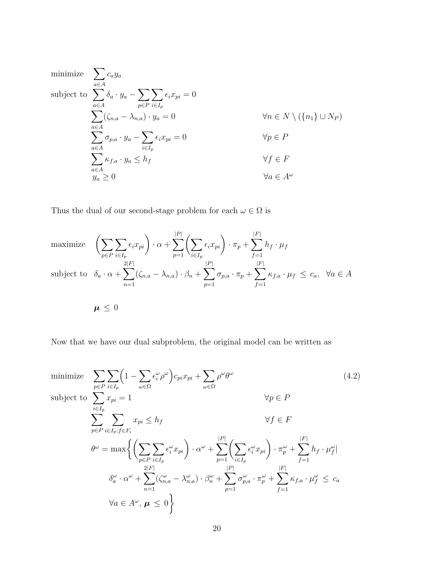minimize 
$$
\sum_{a \in A} c_a y_a
$$
  
\nsubject to 
$$
\sum_{a \in A} \delta_a \cdot y_a - \sum_{p \in P} \sum_{i \in I_p} \epsilon_i x_{pi} = 0
$$
  
\n
$$
\sum_{a \in A} (\zeta_{n,a} - \lambda_{n,a}) \cdot y_a = 0 \qquad \forall n \in N \setminus (\{n_1\} \cup N_P)
$$
  
\n
$$
\sum_{a \in A} \sigma_{p,a} \cdot y_a - \sum_{i \in I_p} \epsilon_i x_{pi} = 0 \qquad \forall p \in P
$$
  
\n
$$
\sum_{a \in A} \kappa_{f,a} \cdot y_a \le h_f \qquad \forall f \in F
$$
  
\n
$$
y_a \ge 0 \qquad \forall a \in A^{\omega}
$$

Thus the dual of our second-stage problem for each  $\omega \in \Omega$  is

maximize 
$$
\left(\sum_{p \in P} \sum_{i \in I_p} \epsilon_i x_{pi}\right) \cdot \alpha + \sum_{p=1}^{|P|} \left(\sum_{i \in I_p} \epsilon_i x_{pi}\right) \cdot \pi_p + \sum_{f=1}^{|F|} h_f \cdot \mu_f
$$
  
\nsubject to  $\delta_a \cdot \alpha + \sum_{n=1}^{2|F|} (\zeta_{n,a} - \lambda_{n,a}) \cdot \beta_n + \sum_{p=1}^{|P|} \sigma_{p,a} \cdot \pi_p + \sum_{f=1}^{|F|} \kappa_{f,a} \cdot \mu_f \le c_a, \ \forall a \in A$   
\n $\mu \le 0$ 

Now that we have our dual subproblem, the original model can be written as

minimize 
$$
\sum_{p \in P} \sum_{i \in I_p} \left(1 - \sum_{\omega \in \Omega} \epsilon_i^{\omega} \rho^{\omega}\right) c_{pi} x_{pi} + \sum_{\omega \in \Omega} \rho^{\omega} \theta^{\omega}
$$
  
\nsubject to 
$$
\sum_{i \in I_p} x_{pi} = 1 \qquad \forall p \in P
$$
  
\n
$$
\sum_{p \in P} \sum_{i \in I_p: f \in F_i} x_{pi} \le h_f \qquad \forall f \in F
$$
  
\n
$$
\theta^{\omega} = \max \left\{ \left( \sum_{p \in P} \sum_{i \in I_p} \epsilon_i^{\omega} x_{pi} \right) \cdot \alpha^{\omega} + \sum_{p=1}^{|P|} \left( \sum_{i \in I_p} \epsilon_i^{\omega} x_{pi} \right) \cdot \pi_p^{\omega} + \sum_{f=1}^{|F|} h_f \cdot \mu_f^{\omega} \right\}
$$
  
\n
$$
\delta_a^{\omega} \cdot \alpha^{\omega} + \sum_{n=1}^{2|F|} (\zeta_{n,a}^{\omega} - \lambda_{n,a}^{\omega}) \cdot \beta_n^{\omega} + \sum_{p=1}^{|P|} \sigma_{p,a}^{\omega} \cdot \pi_p^{\omega} + \sum_{f=1}^{|F|} \kappa_{f,a} \cdot \mu_f^{\omega} \le c_a
$$
  
\n
$$
\forall a \in A^{\omega}, \mu \le 0 \right\}
$$
 (4.2)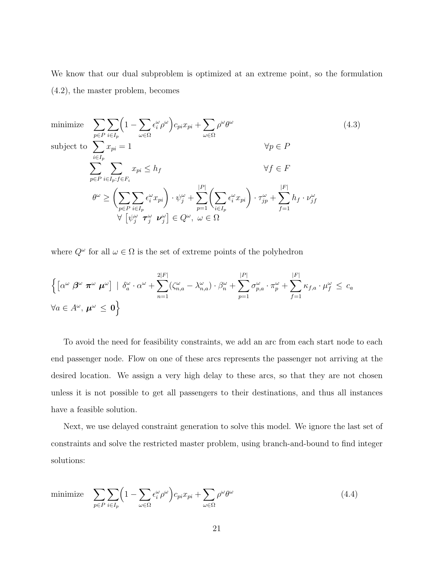We know that our dual subproblem is optimized at an extreme point, so the formulation (4.2), the master problem, becomes

minimize 
$$
\sum_{p \in P} \sum_{i \in I_p} \left(1 - \sum_{\omega \in \Omega} \epsilon_i^{\omega} \rho^{\omega}\right) c_{pi} x_{pi} + \sum_{\omega \in \Omega} \rho^{\omega} \theta^{\omega}
$$
  
\nsubject to 
$$
\sum_{i \in I_p} x_{pi} = 1 \qquad \forall p \in P
$$
  
\n
$$
\sum_{p \in P} \sum_{i \in I_p: f \in F_i} x_{pi} \le h_f \qquad \forall f \in F
$$
  
\n
$$
\theta^{\omega} \ge \left(\sum_{p \in P} \sum_{i \in I_p} \epsilon_i^{\omega} x_{pi}\right) \cdot \psi_j^{\omega} + \sum_{p=1}^{|P|} \left(\sum_{i \in I_p} \epsilon_i^{\omega} x_{pi}\right) \cdot \tau_{jp}^{\omega} + \sum_{f=1}^{|F|} h_f \cdot \nu_{jf}^{\omega}
$$
  
\n
$$
\forall \left[\psi_j^{\omega} \tau_j^{\omega} \nu_j^{\omega}\right] \in Q^{\omega}, \ \omega \in \Omega
$$
\n(4.3)

where  $Q^{\omega}$  for all  $\omega \in \Omega$  is the set of extreme points of the polyhedron

$$
\left\{ \left[ \alpha^{\omega} \beta^{\omega} \pi^{\omega} \mu^{\omega} \right] \mid \delta^{\omega}_{a} \cdot \alpha^{\omega} + \sum_{n=1}^{2|F|} (\zeta_{n,a}^{\omega} - \lambda_{n,a}^{\omega}) \cdot \beta^{\omega}_{n} + \sum_{p=1}^{|P|} \sigma_{p,a}^{\omega} \cdot \pi_{p}^{\omega} + \sum_{f=1}^{|F|} \kappa_{f,a} \cdot \mu_{f}^{\omega} \leq c_{a}
$$
  

$$
\forall a \in A^{\omega}, \mu^{\omega} \leq 0 \right\}
$$

To avoid the need for feasibility constraints, we add an arc from each start node to each end passenger node. Flow on one of these arcs represents the passenger not arriving at the desired location. We assign a very high delay to these arcs, so that they are not chosen unless it is not possible to get all passengers to their destinations, and thus all instances have a feasible solution.

Next, we use delayed constraint generation to solve this model. We ignore the last set of constraints and solve the restricted master problem, using branch-and-bound to find integer solutions:

minimize  $\sum$ p∈P  $\sum$  $i \in I_p$  $\left(1-\sum\right)$ ω∈Ω  $\left\{ \epsilon_{i}^{\omega}\rho^{\omega}\right\} c_{pi}x_{pi}+\sum_{i}% \epsilon_{i}^{\omega}\left( \epsilon_{i}^{\omega}\right) c_{pi}^{i}\left( \epsilon_{i}^{\omega}\right) \left\vert \epsilon_{i}^{\omega}\epsilon_{j}\right\rangle$ ω∈Ω  $\rho^{\omega} \theta^{\omega}$ (4.4)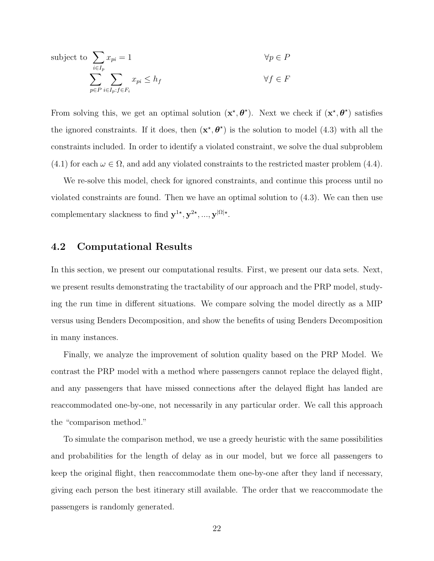subject to 
$$
\sum_{i \in I_p} x_{pi} = 1 \qquad \forall p \in P
$$

$$
\sum_{p \in P} \sum_{i \in I_p: f \in F_i} x_{pi} \le h_f \qquad \forall f \in F
$$

From solving this, we get an optimal solution  $(x^*, \theta^*)$ . Next we check if  $(x^*, \theta^*)$  satisfies the ignored constraints. If it does, then  $(x^*, \theta^*)$  is the solution to model (4.3) with all the constraints included. In order to identify a violated constraint, we solve the dual subproblem  $(4.1)$  for each  $\omega \in \Omega$ , and add any violated constraints to the restricted master problem  $(4.4)$ .

We re-solve this model, check for ignored constraints, and continue this process until no violated constraints are found. Then we have an optimal solution to (4.3). We can then use complementary slackness to find  $\mathbf{y}^{1*}, \mathbf{y}^{2*}, ..., \mathbf{y}^{|\Omega|*}$ .

### 4.2 Computational Results

In this section, we present our computational results. First, we present our data sets. Next, we present results demonstrating the tractability of our approach and the PRP model, studying the run time in different situations. We compare solving the model directly as a MIP versus using Benders Decomposition, and show the benefits of using Benders Decomposition in many instances.

Finally, we analyze the improvement of solution quality based on the PRP Model. We contrast the PRP model with a method where passengers cannot replace the delayed flight, and any passengers that have missed connections after the delayed flight has landed are reaccommodated one-by-one, not necessarily in any particular order. We call this approach the "comparison method."

To simulate the comparison method, we use a greedy heuristic with the same possibilities and probabilities for the length of delay as in our model, but we force all passengers to keep the original flight, then reaccommodate them one-by-one after they land if necessary, giving each person the best itinerary still available. The order that we reaccommodate the passengers is randomly generated.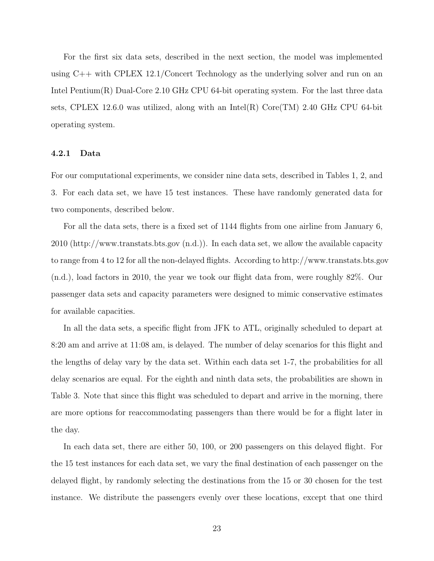For the first six data sets, described in the next section, the model was implemented using C++ with CPLEX 12.1/Concert Technology as the underlying solver and run on an Intel Pentium(R) Dual-Core 2.10 GHz CPU 64-bit operating system. For the last three data sets, CPLEX 12.6.0 was utilized, along with an Intel(R) Core(TM) 2.40 GHz CPU 64-bit operating system.

#### 4.2.1 Data

For our computational experiments, we consider nine data sets, described in Tables 1, 2, and 3. For each data set, we have 15 test instances. These have randomly generated data for two components, described below.

For all the data sets, there is a fixed set of 1144 flights from one airline from January 6, 2010 (http://www.transtats.bts.gov (n.d.)). In each data set, we allow the available capacity to range from 4 to 12 for all the non-delayed flights. According to http://www.transtats.bts.gov (n.d.), load factors in 2010, the year we took our flight data from, were roughly 82%. Our passenger data sets and capacity parameters were designed to mimic conservative estimates for available capacities.

In all the data sets, a specific flight from JFK to ATL, originally scheduled to depart at 8:20 am and arrive at 11:08 am, is delayed. The number of delay scenarios for this flight and the lengths of delay vary by the data set. Within each data set 1-7, the probabilities for all delay scenarios are equal. For the eighth and ninth data sets, the probabilities are shown in Table 3. Note that since this flight was scheduled to depart and arrive in the morning, there are more options for reaccommodating passengers than there would be for a flight later in the day.

In each data set, there are either 50, 100, or 200 passengers on this delayed flight. For the 15 test instances for each data set, we vary the final destination of each passenger on the delayed flight, by randomly selecting the destinations from the 15 or 30 chosen for the test instance. We distribute the passengers evenly over these locations, except that one third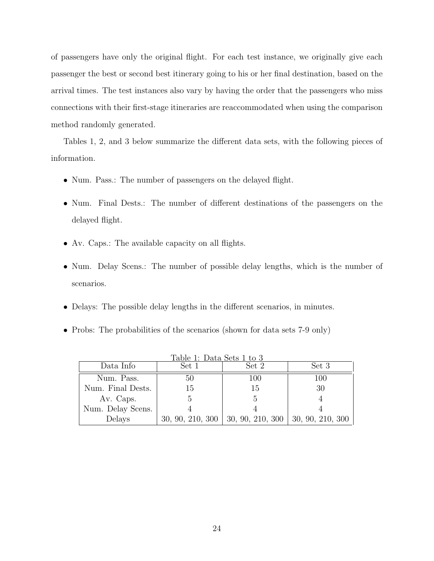of passengers have only the original flight. For each test instance, we originally give each passenger the best or second best itinerary going to his or her final destination, based on the arrival times. The test instances also vary by having the order that the passengers who miss connections with their first-stage itineraries are reaccommodated when using the comparison method randomly generated.

Tables 1, 2, and 3 below summarize the different data sets, with the following pieces of information.

- Num. Pass.: The number of passengers on the delayed flight.
- Num. Final Dests.: The number of different destinations of the passengers on the delayed flight.
- Av. Caps.: The available capacity on all flights.
- Num. Delay Scens.: The number of possible delay lengths, which is the number of scenarios.
- Delays: The possible delay lengths in the different scenarios, in minutes.
- Probs: The probabilities of the scenarios (shown for data sets 7-9 only)

| Table 1: Data Sets 1 to 3 |                  |                  |                  |  |  |  |  |
|---------------------------|------------------|------------------|------------------|--|--|--|--|
| Data Info                 | Set 1            | Set 2            | Set 3            |  |  |  |  |
| Num. Pass.                | 50               | 100              | 100              |  |  |  |  |
| Num. Final Dests.         | 15               | 15               | 30               |  |  |  |  |
| Av. Caps.                 |                  | 5                |                  |  |  |  |  |
| Num. Delay Scens.         |                  |                  |                  |  |  |  |  |
| Delays                    | 30, 90, 210, 300 | 30, 90, 210, 300 | 30, 90, 210, 300 |  |  |  |  |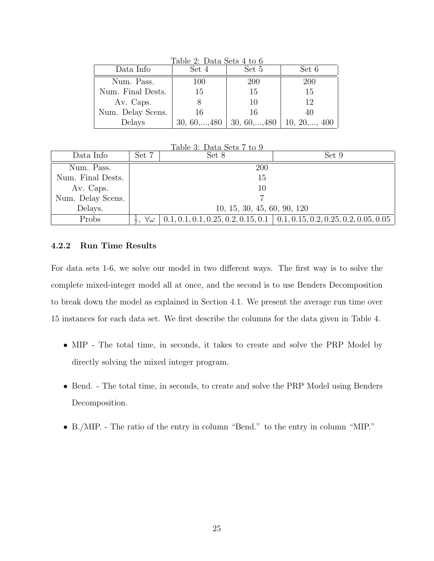| Data Info         | Set 4                 | Set 5                 | Set 6                 |
|-------------------|-----------------------|-----------------------|-----------------------|
| Num. Pass.        | 100                   | 200                   | 200                   |
| Num. Final Dests. | 15                    | 15                    | 15                    |
| Av. Caps.         |                       | 10                    | 12                    |
| Num. Delay Scens. | 16                    | 16                    | 40                    |
| Delays            | $30, 60, \ldots, 480$ | $30, 60, \ldots, 480$ | $10, 20, \ldots, 400$ |

Table 2: Data Sets 4 to 6

| Table 3: Data Sets 7 to 9 |                             |       |                                                                                  |  |  |  |  |
|---------------------------|-----------------------------|-------|----------------------------------------------------------------------------------|--|--|--|--|
| Data Info                 | Set 7                       | Set 8 | Set 9                                                                            |  |  |  |  |
| Num. Pass.                |                             | 200   |                                                                                  |  |  |  |  |
| Num. Final Dests.         |                             | 15    |                                                                                  |  |  |  |  |
| Av. Caps.                 |                             | 10    |                                                                                  |  |  |  |  |
| Num. Delay Scens.         |                             |       |                                                                                  |  |  |  |  |
| Delays.                   | 10, 15, 30, 45, 60, 90, 120 |       |                                                                                  |  |  |  |  |
| Probs                     | $\forall \omega$<br>÷,      |       | $0.1, 0.1, 0.1, 0.25, 0.2, 0.15, 0.1 \mid 0.1, 0.15, 0.2, 0.25, 0.2, 0.05, 0.05$ |  |  |  |  |

### 4.2.2 Run Time Results

For data sets 1-6, we solve our model in two different ways. The first way is to solve the complete mixed-integer model all at once, and the second is to use Benders Decomposition to break down the model as explained in Section 4.1. We present the average run time over 15 instances for each data set. We first describe the columns for the data given in Table 4.

- MIP The total time, in seconds, it takes to create and solve the PRP Model by directly solving the mixed integer program.
- Bend. The total time, in seconds, to create and solve the PRP Model using Benders Decomposition.
- B./MIP. The ratio of the entry in column "Bend." to the entry in column "MIP."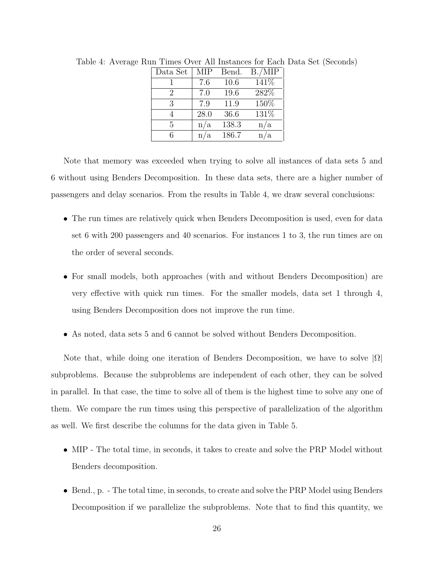| Data Set | <b>MIP</b> | Bend. | B./MIP |
|----------|------------|-------|--------|
|          | 7.6        | 10.6  | 141\%  |
| 2        | 7.0        | 19.6  | 282\%  |
| 3        | 7.9        | 11.9  | 150%   |
| 4        | 28.0       | 36.6  | 131%   |
| 5        | n/a        | 138.3 | n/a    |
| 6        | n/a        | 186.7 | n/a    |

Table 4: Average Run Times Over All Instances for Each Data Set (Seconds)

Note that memory was exceeded when trying to solve all instances of data sets 5 and 6 without using Benders Decomposition. In these data sets, there are a higher number of passengers and delay scenarios. From the results in Table 4, we draw several conclusions:

- The run times are relatively quick when Benders Decomposition is used, even for data set 6 with 200 passengers and 40 scenarios. For instances 1 to 3, the run times are on the order of several seconds.
- For small models, both approaches (with and without Benders Decomposition) are very effective with quick run times. For the smaller models, data set 1 through 4, using Benders Decomposition does not improve the run time.
- As noted, data sets 5 and 6 cannot be solved without Benders Decomposition.

Note that, while doing one iteration of Benders Decomposition, we have to solve  $|\Omega|$ subproblems. Because the subproblems are independent of each other, they can be solved in parallel. In that case, the time to solve all of them is the highest time to solve any one of them. We compare the run times using this perspective of parallelization of the algorithm as well. We first describe the columns for the data given in Table 5.

- MIP The total time, in seconds, it takes to create and solve the PRP Model without Benders decomposition.
- Bend., p. The total time, in seconds, to create and solve the PRP Model using Benders Decomposition if we parallelize the subproblems. Note that to find this quantity, we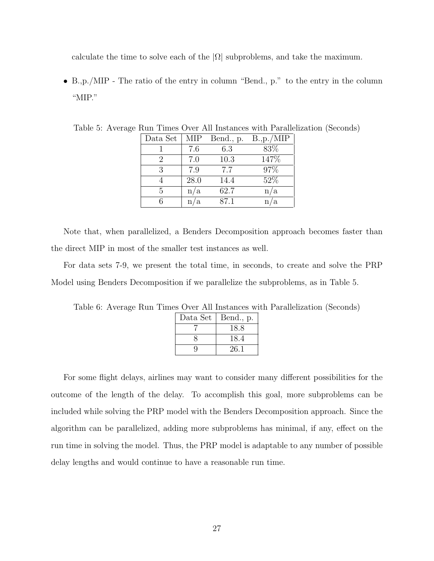calculate the time to solve each of the  $|\Omega|$  subproblems, and take the maximum.

• B.,p./MIP - The ratio of the entry in column "Bend., p." to the entry in the column "MIP."

| Data Set      | MIP  | Bend., p. | B.,p./MIP |
|---------------|------|-----------|-----------|
|               | 7.6  | 6.3       | 83%       |
| $\mathcal{D}$ | 7.0  | 10.3      | 147\%     |
| 3             | 7.9  | 7.7       | 97%       |
|               | 28.0 | 14.4      | 52%       |
| 5             | n/a  | 62.7      | n/a       |
|               | n/a  | 87.1      | /a        |

Table 5: Average Run Times Over All Instances with Parallelization (Seconds)

Note that, when parallelized, a Benders Decomposition approach becomes faster than the direct MIP in most of the smaller test instances as well.

For data sets 7-9, we present the total time, in seconds, to create and solve the PRP Model using Benders Decomposition if we parallelize the subproblems, as in Table 5.

Table 6: Average Run Times Over All Instances with Parallelization (Seconds)

| Data Set | Bend., p. |
|----------|-----------|
|          | 18.8      |
|          | 18.4      |
| Q        | 26.1      |

For some flight delays, airlines may want to consider many different possibilities for the outcome of the length of the delay. To accomplish this goal, more subproblems can be included while solving the PRP model with the Benders Decomposition approach. Since the algorithm can be parallelized, adding more subproblems has minimal, if any, effect on the run time in solving the model. Thus, the PRP model is adaptable to any number of possible delay lengths and would continue to have a reasonable run time.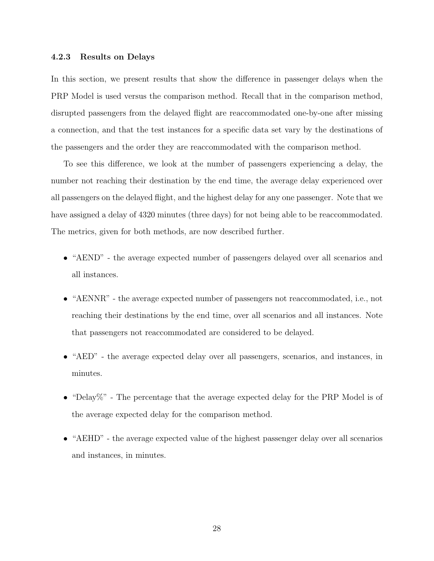#### 4.2.3 Results on Delays

In this section, we present results that show the difference in passenger delays when the PRP Model is used versus the comparison method. Recall that in the comparison method, disrupted passengers from the delayed flight are reaccommodated one-by-one after missing a connection, and that the test instances for a specific data set vary by the destinations of the passengers and the order they are reaccommodated with the comparison method.

To see this difference, we look at the number of passengers experiencing a delay, the number not reaching their destination by the end time, the average delay experienced over all passengers on the delayed flight, and the highest delay for any one passenger. Note that we have assigned a delay of 4320 minutes (three days) for not being able to be reaccommodated. The metrics, given for both methods, are now described further.

- "AEND" the average expected number of passengers delayed over all scenarios and all instances.
- "AENNR" the average expected number of passengers not reaccommodated, i.e., not reaching their destinations by the end time, over all scenarios and all instances. Note that passengers not reaccommodated are considered to be delayed.
- "AED" the average expected delay over all passengers, scenarios, and instances, in minutes.
- "Delay". The percentage that the average expected delay for the PRP Model is of the average expected delay for the comparison method.
- "AEHD" the average expected value of the highest passenger delay over all scenarios and instances, in minutes.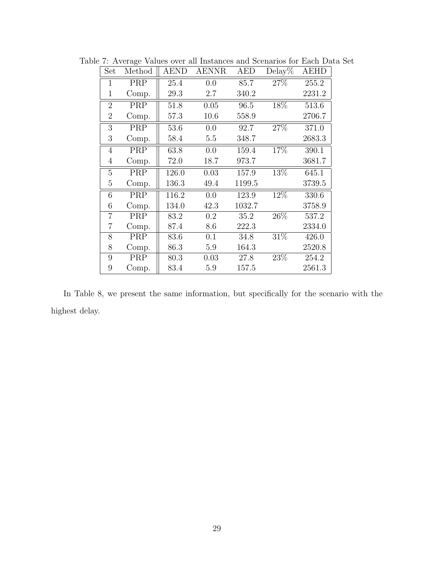| Set            | Method | <b>AEND</b> | <b>AENNR</b> | <b>AED</b> | $Delay\%$         | <b>AEHD</b> |
|----------------|--------|-------------|--------------|------------|-------------------|-------------|
| $\mathbf{1}$   | PRP    | 25.4        | 0.0          | 85.7       | 27%               | 255.2       |
| $\mathbf 1$    | Comp.  | 29.3        | 2.7          | 340.2      |                   | 2231.2      |
| $\overline{2}$ | PRP    | 51.8        | 0.05         | 96.5       | 18%               | 513.6       |
| $\overline{2}$ | Comp.  | 57.3        | 10.6         | 558.9      |                   | 2706.7      |
| 3              | PRP    | 53.6        | 0.0          | 92.7       | 27%               | 371.0       |
| 3              | Comp.  | 58.4        | 5.5          | 348.7      |                   | 2683.3      |
| $\overline{4}$ | PRP    | 63.8        | 0.0          | 159.4      | 17%               | 390.1       |
| $\overline{4}$ | Comp.  | 72.0        | 18.7         | 973.7      |                   | 3681.7      |
| 5              | PRP    | 126.0       | 0.03         | 157.9      | 13%               | 645.1       |
| 5              | Comp.  | 136.3       | 49.4         | 1199.5     |                   | 3739.5      |
| 6              | PRP    | 116.2       | 0.0          | 123.9      | 12%               | 330.6       |
| 6              | Comp.  | 134.0       | 42.3         | 1032.7     |                   | 3758.9      |
| $\overline{7}$ | PRP    | 83.2        | 0.2          | 35.2       | $\overline{26\%}$ | 537.2       |
| 7              | Comp.  | 87.4        | 8.6          | 222.3      |                   | 2334.0      |
| 8              | PRP    | 83.6        | 0.1          | 34.8       | 31\%              | 426.0       |
| 8              | Comp.  | 86.3        | 5.9          | 164.3      |                   | 2520.8      |
| 9              | PRP    | 80.3        | 0.03         | 27.8       | $\overline{23\%}$ | 254.2       |
| 9              | Comp.  | 83.4        | 5.9          | 157.5      |                   | 2561.3      |

Table 7: Average Values over all Instances and Scenarios for Each Data Set

In Table 8, we present the same information, but specifically for the scenario with the highest delay.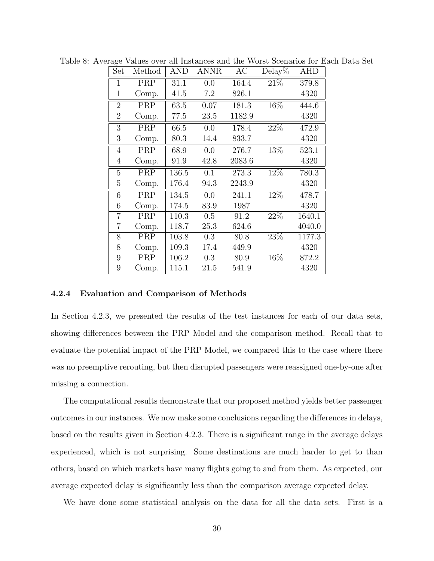| Set            | Method | AND   | <b>ANNR</b> | AC     | $\overline{\mathrm{D}}$ elay% | <b>AHD</b> |
|----------------|--------|-------|-------------|--------|-------------------------------|------------|
| $\mathbf{1}$   | PRP    | 31.1  | 0.0         | 164.4  | $\overline{21\%}$             | 379.8      |
| $\mathbf{1}$   | Comp.  | 41.5  | 7.2         | 826.1  |                               | 4320       |
| $\overline{2}$ | PRP    | 63.5  | 0.07        | 181.3  | 16%                           | 444.6      |
| $\overline{2}$ | Comp.  | 77.5  | 23.5        | 1182.9 |                               | 4320       |
| 3              | PRP    | 66.5  | 0.0         | 178.4  | 22%                           | 472.9      |
| 3              | Comp.  | 80.3  | 14.4        | 833.7  |                               | 4320       |
| $\overline{4}$ | PRP    | 68.9  | 0.0         | 276.7  | 13%                           | 523.1      |
| 4              | Comp.  | 91.9  | 42.8        | 2083.6 |                               | 4320       |
| 5              | PRP    | 136.5 | 0.1         | 273.3  | 12%                           | 780.3      |
| $\overline{5}$ | Comp.  | 176.4 | 94.3        | 2243.9 |                               | 4320       |
| 6              | PRP    | 134.5 | 0.0         | 241.1  | 12%                           | 478.7      |
| 6              | Comp.  | 174.5 | 83.9        | 1987   |                               | 4320       |
| $\overline{7}$ | PRP    | 110.3 | 0.5         | 91.2   | 22%                           | 1640.1     |
| 7              | Comp.  | 118.7 | 25.3        | 624.6  |                               | 4040.0     |
| 8              | PRP    | 103.8 | 0.3         | 80.8   | 23%                           | 1177.3     |
| 8              | Comp.  | 109.3 | 17.4        | 449.9  |                               | 4320       |
| 9              | PRP    | 106.2 | 0.3         | 80.9   | 16%                           | 872.2      |
| 9              | Comp.  | 115.1 | 21.5        | 541.9  |                               | 4320       |

Table 8: Average Values over all Instances and the Worst Scenarios for Each Data Set

#### 4.2.4 Evaluation and Comparison of Methods

In Section 4.2.3, we presented the results of the test instances for each of our data sets, showing differences between the PRP Model and the comparison method. Recall that to evaluate the potential impact of the PRP Model, we compared this to the case where there was no preemptive rerouting, but then disrupted passengers were reassigned one-by-one after missing a connection.

The computational results demonstrate that our proposed method yields better passenger outcomes in our instances. We now make some conclusions regarding the differences in delays, based on the results given in Section 4.2.3. There is a significant range in the average delays experienced, which is not surprising. Some destinations are much harder to get to than others, based on which markets have many flights going to and from them. As expected, our average expected delay is significantly less than the comparison average expected delay.

We have done some statistical analysis on the data for all the data sets. First is a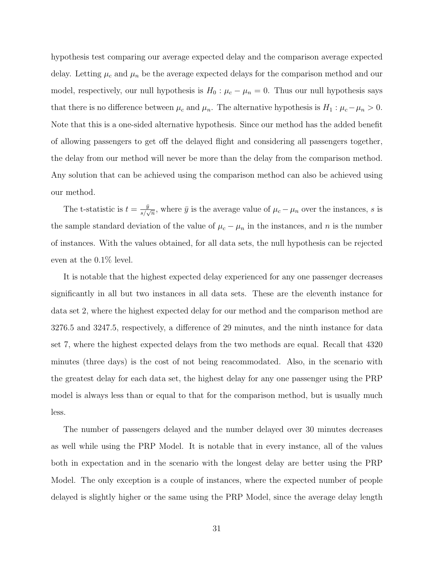hypothesis test comparing our average expected delay and the comparison average expected delay. Letting  $\mu_c$  and  $\mu_n$  be the average expected delays for the comparison method and our model, respectively, our null hypothesis is  $H_0$ :  $\mu_c - \mu_n = 0$ . Thus our null hypothesis says that there is no difference between  $\mu_c$  and  $\mu_n$ . The alternative hypothesis is  $H_1$ :  $\mu_c - \mu_n > 0$ . Note that this is a one-sided alternative hypothesis. Since our method has the added benefit of allowing passengers to get off the delayed flight and considering all passengers together, the delay from our method will never be more than the delay from the comparison method. Any solution that can be achieved using the comparison method can also be achieved using our method.

The t-statistic is  $t = \frac{\bar{y}}{s/\sqrt{n}}$ , where  $\bar{y}$  is the average value of  $\mu_c - \mu_n$  over the instances, s is the sample standard deviation of the value of  $\mu_c - \mu_n$  in the instances, and n is the number of instances. With the values obtained, for all data sets, the null hypothesis can be rejected even at the 0.1% level.

It is notable that the highest expected delay experienced for any one passenger decreases significantly in all but two instances in all data sets. These are the eleventh instance for data set 2, where the highest expected delay for our method and the comparison method are 3276.5 and 3247.5, respectively, a difference of 29 minutes, and the ninth instance for data set 7, where the highest expected delays from the two methods are equal. Recall that 4320 minutes (three days) is the cost of not being reacommodated. Also, in the scenario with the greatest delay for each data set, the highest delay for any one passenger using the PRP model is always less than or equal to that for the comparison method, but is usually much less.

The number of passengers delayed and the number delayed over 30 minutes decreases as well while using the PRP Model. It is notable that in every instance, all of the values both in expectation and in the scenario with the longest delay are better using the PRP Model. The only exception is a couple of instances, where the expected number of people delayed is slightly higher or the same using the PRP Model, since the average delay length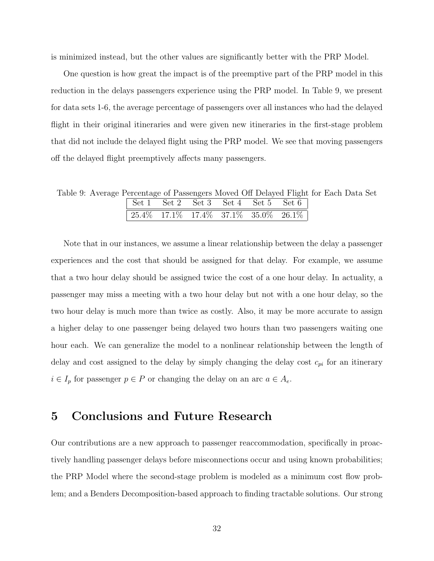is minimized instead, but the other values are significantly better with the PRP Model.

One question is how great the impact is of the preemptive part of the PRP model in this reduction in the delays passengers experience using the PRP model. In Table 9, we present for data sets 1-6, the average percentage of passengers over all instances who had the delayed flight in their original itineraries and were given new itineraries in the first-stage problem that did not include the delayed flight using the PRP model. We see that moving passengers off the delayed flight preemptively affects many passengers.

Table 9: Average Percentage of Passengers Moved Off Delayed Flight for Each Data Set

Note that in our instances, we assume a linear relationship between the delay a passenger experiences and the cost that should be assigned for that delay. For example, we assume that a two hour delay should be assigned twice the cost of a one hour delay. In actuality, a passenger may miss a meeting with a two hour delay but not with a one hour delay, so the two hour delay is much more than twice as costly. Also, it may be more accurate to assign a higher delay to one passenger being delayed two hours than two passengers waiting one hour each. We can generalize the model to a nonlinear relationship between the length of delay and cost assigned to the delay by simply changing the delay cost  $c_{pi}$  for an itinerary  $i \in I_p$  for passenger  $p \in P$  or changing the delay on an arc  $a \in A_e$ .

### 5 Conclusions and Future Research

Our contributions are a new approach to passenger reaccommodation, specifically in proactively handling passenger delays before misconnections occur and using known probabilities; the PRP Model where the second-stage problem is modeled as a minimum cost flow problem; and a Benders Decomposition-based approach to finding tractable solutions. Our strong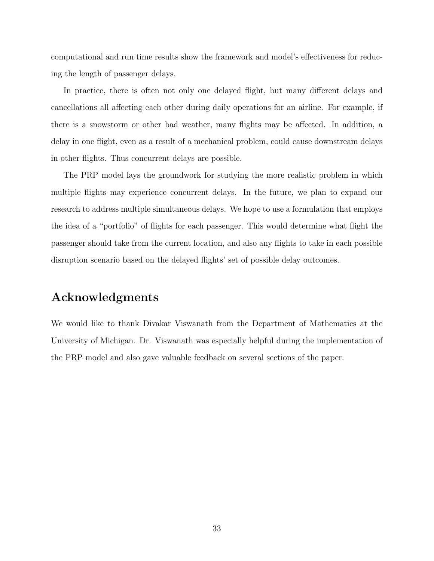computational and run time results show the framework and model's effectiveness for reducing the length of passenger delays.

In practice, there is often not only one delayed flight, but many different delays and cancellations all affecting each other during daily operations for an airline. For example, if there is a snowstorm or other bad weather, many flights may be affected. In addition, a delay in one flight, even as a result of a mechanical problem, could cause downstream delays in other flights. Thus concurrent delays are possible.

The PRP model lays the groundwork for studying the more realistic problem in which multiple flights may experience concurrent delays. In the future, we plan to expand our research to address multiple simultaneous delays. We hope to use a formulation that employs the idea of a "portfolio" of flights for each passenger. This would determine what flight the passenger should take from the current location, and also any flights to take in each possible disruption scenario based on the delayed flights' set of possible delay outcomes.

## Acknowledgments

We would like to thank Divakar Viswanath from the Department of Mathematics at the University of Michigan. Dr. Viswanath was especially helpful during the implementation of the PRP model and also gave valuable feedback on several sections of the paper.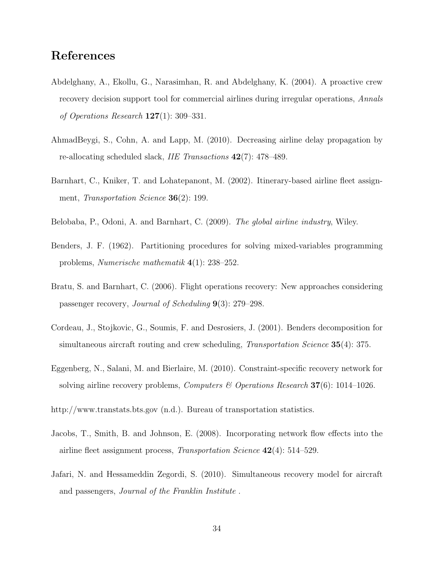### References

- Abdelghany, A., Ekollu, G., Narasimhan, R. and Abdelghany, K. (2004). A proactive crew recovery decision support tool for commercial airlines during irregular operations, Annals of Operations Research 127(1): 309–331.
- AhmadBeygi, S., Cohn, A. and Lapp, M. (2010). Decreasing airline delay propagation by re-allocating scheduled slack, IIE Transactions 42(7): 478–489.
- Barnhart, C., Kniker, T. and Lohatepanont, M. (2002). Itinerary-based airline fleet assignment, Transportation Science 36(2): 199.
- Belobaba, P., Odoni, A. and Barnhart, C. (2009). The global airline industry, Wiley.
- Benders, J. F. (1962). Partitioning procedures for solving mixed-variables programming problems, Numerische mathematik 4(1): 238–252.
- Bratu, S. and Barnhart, C. (2006). Flight operations recovery: New approaches considering passenger recovery, Journal of Scheduling 9(3): 279–298.
- Cordeau, J., Stojkovic, G., Soumis, F. and Desrosiers, J. (2001). Benders decomposition for simultaneous aircraft routing and crew scheduling, *Transportation Science* **35**(4): 375.
- Eggenberg, N., Salani, M. and Bierlaire, M. (2010). Constraint-specific recovery network for solving airline recovery problems, *Computers & Operations Research* **37**(6): 1014–1026.
- http://www.transtats.bts.gov (n.d.). Bureau of transportation statistics.
- Jacobs, T., Smith, B. and Johnson, E. (2008). Incorporating network flow effects into the airline fleet assignment process, Transportation Science 42(4): 514–529.
- Jafari, N. and Hessameddin Zegordi, S. (2010). Simultaneous recovery model for aircraft and passengers, Journal of the Franklin Institute .